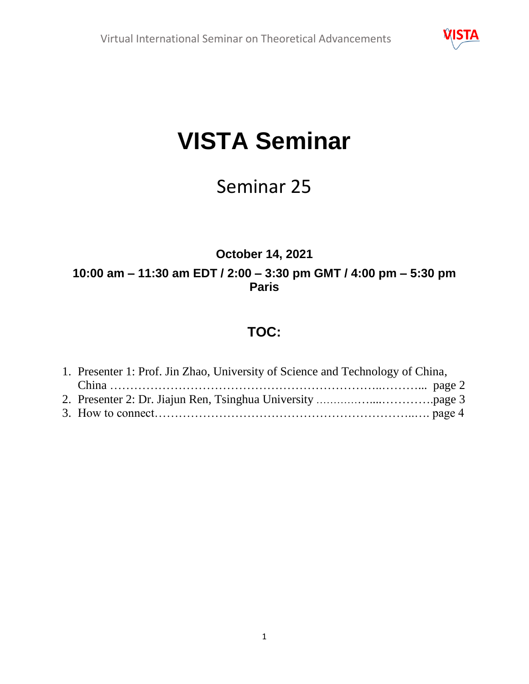

# **VISTA Seminar**

# Seminar 25

### **October 14, 2021 10:00 am – 11:30 am EDT / 2:00 – 3:30 pm GMT / 4:00 pm – 5:30 pm Paris**

## **TOC:**

| 1. Presenter 1: Prof. Jin Zhao, University of Science and Technology of China, |  |
|--------------------------------------------------------------------------------|--|
|                                                                                |  |
|                                                                                |  |
|                                                                                |  |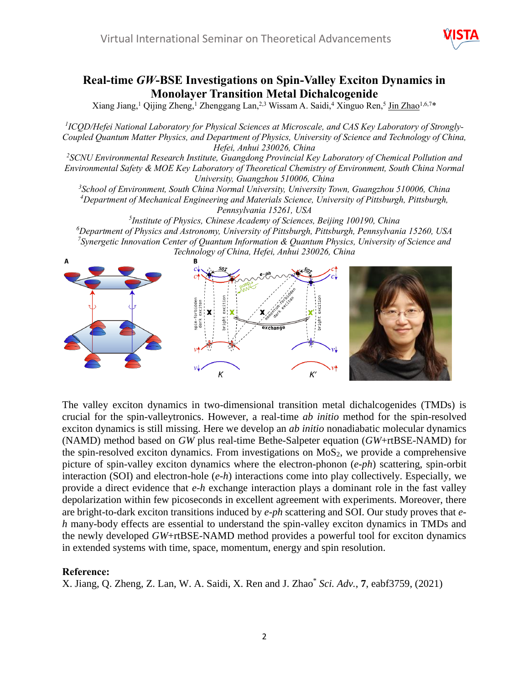

#### **Real-time** *GW***-BSE Investigations on Spin-Valley Exciton Dynamics in Monolayer Transition Metal Dichalcogenide**

Xiang Jiang,<sup>1</sup> Qijing Zheng,<sup>1</sup> Zhenggang Lan,<sup>2,3</sup> Wissam A. Saidi,<sup>4</sup> Xinguo Ren,<sup>5</sup> Jin Zhao<sup>1,6,7</sup>\*

*1 ICQD/Hefei National Laboratory for Physical Sciences at Microscale, and CAS Key Laboratory of Strongly-Coupled Quantum Matter Physics, and Department of Physics, University of Science and Technology of China, Hefei, Anhui 230026, China*

*2 SCNU Environmental Research Institute, Guangdong Provincial Key Laboratory of Chemical Pollution and Environmental Safety & MOE Key Laboratory of Theoretical Chemistry of Environment, South China Normal University, Guangzhou 510006, China*

*<sup>3</sup>School of Environment, South China Normal University, University Town, Guangzhou 510006, China <sup>4</sup>Department of Mechanical Engineering and Materials Science, University of Pittsburgh, Pittsburgh, Pennsylvania 15261, USA*

 *Institute of Physics, Chinese Academy of Sciences, Beijing 100190, China Department of Physics and Astronomy, University of Pittsburgh, Pittsburgh, Pennsylvania 15260, USA Synergetic Innovation Center of Quantum Information & Quantum Physics, University of Science and Technology of China, Hefei, Anhui 230026, China*



The valley exciton dynamics in two-dimensional transition metal dichalcogenides (TMDs) is crucial for the spin-valleytronics. However, a real-time *ab initio* method for the spin-resolved exciton dynamics is still missing. Here we develop an *ab initio* nonadiabatic molecular dynamics (NAMD) method based on *GW* plus real-time Bethe-Salpeter equation (*GW*+rtBSE-NAMD) for the spin-resolved exciton dynamics. From investigations on  $MoS<sub>2</sub>$ , we provide a comprehensive picture of spin-valley exciton dynamics where the electron-phonon (*e-ph*) scattering, spin-orbit interaction (SOI) and electron-hole (*e-h*) interactions come into play collectively. Especially, we provide a direct evidence that *e-h* exchange interaction plays a dominant role in the fast valley depolarization within few picoseconds in excellent agreement with experiments. Moreover, there are bright-to-dark exciton transitions induced by *e-ph* scattering and SOI. Our study proves that *eh* many-body effects are essential to understand the spin-valley exciton dynamics in TMDs and the newly developed *GW*+rtBSE-NAMD method provides a powerful tool for exciton dynamics in extended systems with time, space, momentum, energy and spin resolution.

#### **Reference:**

X. Jiang, Q. Zheng, Z. Lan, W. A. Saidi, X. Ren and J. Zhao\* *Sci. Adv.*, **7**, eabf3759, (2021)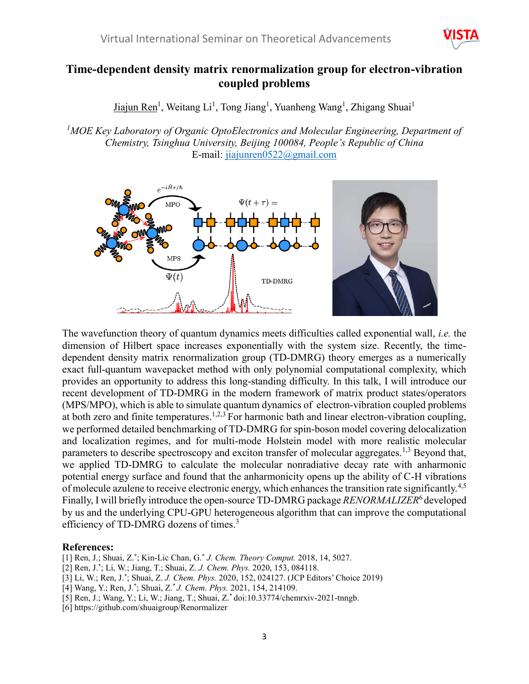

#### **Time-dependent density matrix renormalization group for electron-vibration coupled problems**

Jiajun Ren<sup>1</sup>, Weitang Li<sup>1</sup>, Tong Jiang<sup>1</sup>, Yuanheng Wang<sup>1</sup>, Zhigang Shuai<sup>1</sup>

*<sup>1</sup>MOE Key Laboratory of Organic OptoElectronics and Molecular Engineering, Department of Chemistry, Tsinghua University, Beijing 100084, People's Republic of China* E-mail: [jiajunren0522@gmail.com](mailto:jiajunren0522@gmail.com)



The wavefunction theory of quantum dynamics meets difficulties called exponential wall, *i.e.* the dimension of Hilbert space increases exponentially with the system size. Recently, the timedependent density matrix renormalization group (TD-DMRG) theory emerges as a numerically exact full-quantum wavepacket method with only polynomial computational complexity, which provides an opportunity to address this long-standing difficulty. In this talk, I will introduce our recent development of TD-DMRG in the modern framework of matrix product states/operators (MPS/MPO), which is able to simulate quantum dynamics of electron-vibration coupled problems at both zero and finite temperatures.<sup>1,2,3</sup> For harmonic bath and linear electron-vibration coupling, we performed detailed benchmarking of TD-DMRG for spin-boson model covering delocalization and localization regimes, and for multi-mode Holstein model with more realistic molecular parameters to describe spectroscopy and exciton transfer of molecular aggregates.<sup>1,3</sup> Beyond that, we applied TD-DMRG to calculate the molecular nonradiative decay rate with anharmonic potential energy surface and found that the anharmonicity opens up the ability of C-H vibrations of molecule azulene to receive electronic energy, which enhances the transition rate significantly.<sup>4,5</sup> Finally, I will briefly introduce the open-source TD-DMRG package *RENORMALIZER*<sup>6</sup> developed by us and the underlying CPU-GPU heterogeneous algorithm that can improve the computational efficiency of TD-DMRG dozens of times.<sup>3</sup>

#### **References:**

- [1] Ren, J.; Shuai, Z.\* ; Kin-Lic Chan, G.\* *J. Chem. Theory Comput.* 2018, 14, 5027.
- [2] Ren, J.\* ; Li, W.; Jiang, T.; Shuai, Z. *J. Chem. Phys.* 2020, 153, 084118.
- [3] Li, W.; Ren, J.\* ; Shuai, Z. *J. Chem. Phys.* 2020, 152, 024127. (JCP Editors' Choice 2019)
- [4] Wang, Y.; Ren, J.\* ; Shuai, Z.\* *J. Chem. Phys.* 2021, 154, 214109.
- [5] Ren, J.; Wang, Y.; Li, W.; Jiang, T.; Shuai, Z.\* doi:10.33774/chemrxiv-2021-tnngb.
- [6] https://github.com/shuaigroup/Renormalizer